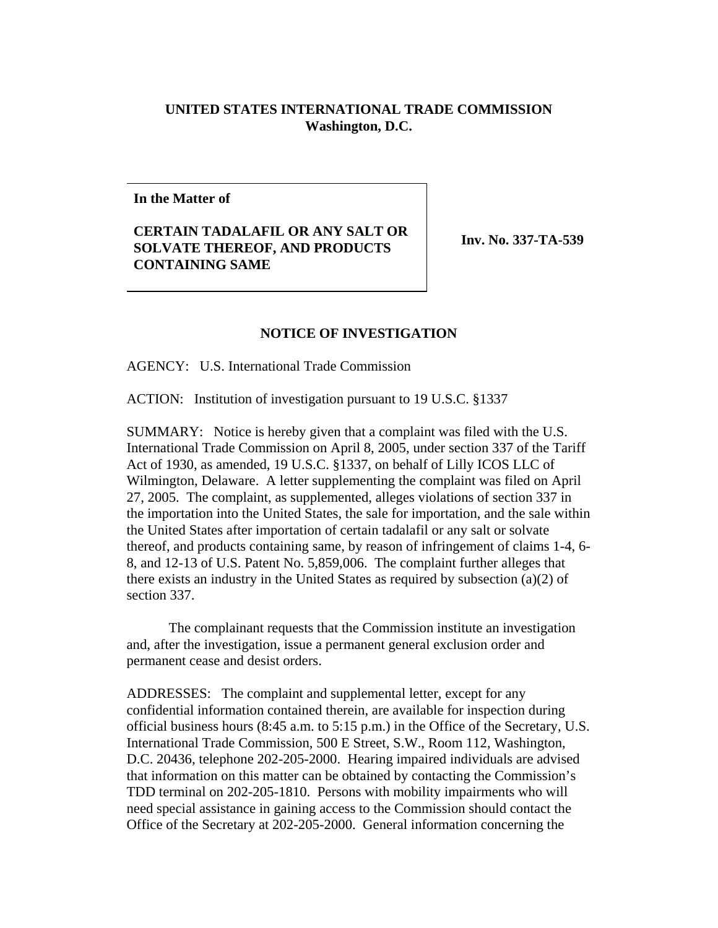## **UNITED STATES INTERNATIONAL TRADE COMMISSION Washington, D.C.**

**In the Matter of**

## **CERTAIN TADALAFIL OR ANY SALT OR SOLVATE THEREOF, AND PRODUCTS CONTAINING SAME**

**Inv. No. 337-TA-539**

## **NOTICE OF INVESTIGATION**

AGENCY: U.S. International Trade Commission

ACTION: Institution of investigation pursuant to 19 U.S.C. §1337

SUMMARY: Notice is hereby given that a complaint was filed with the U.S. International Trade Commission on April 8, 2005, under section 337 of the Tariff Act of 1930, as amended, 19 U.S.C. §1337, on behalf of Lilly ICOS LLC of Wilmington, Delaware. A letter supplementing the complaint was filed on April 27, 2005. The complaint, as supplemented, alleges violations of section 337 in the importation into the United States, the sale for importation, and the sale within the United States after importation of certain tadalafil or any salt or solvate thereof, and products containing same, by reason of infringement of claims 1-4, 6- 8, and 12-13 of U.S. Patent No. 5,859,006. The complaint further alleges that there exists an industry in the United States as required by subsection (a)(2) of section 337.

The complainant requests that the Commission institute an investigation and, after the investigation, issue a permanent general exclusion order and permanent cease and desist orders.

ADDRESSES: The complaint and supplemental letter, except for any confidential information contained therein, are available for inspection during official business hours (8:45 a.m. to 5:15 p.m.) in the Office of the Secretary, U.S. International Trade Commission, 500 E Street, S.W., Room 112, Washington, D.C. 20436, telephone 202-205-2000. Hearing impaired individuals are advised that information on this matter can be obtained by contacting the Commission's TDD terminal on 202-205-1810. Persons with mobility impairments who will need special assistance in gaining access to the Commission should contact the Office of the Secretary at 202-205-2000. General information concerning the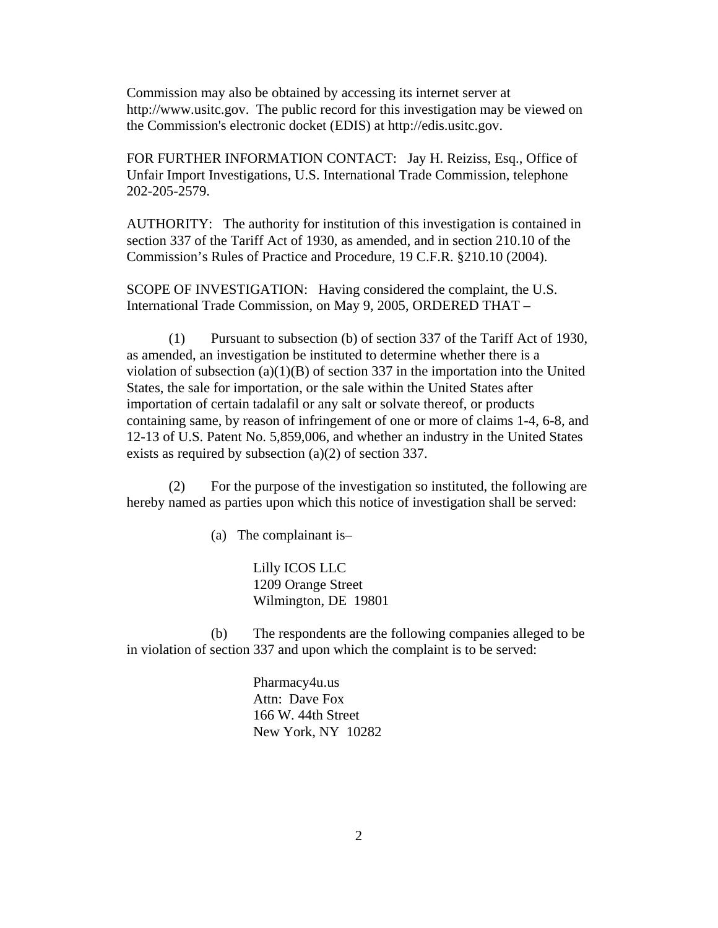Commission may also be obtained by accessing its internet server at http://www.usitc.gov. The public record for this investigation may be viewed on the Commission's electronic docket (EDIS) at http://edis.usitc.gov.

FOR FURTHER INFORMATION CONTACT: Jay H. Reiziss, Esq., Office of Unfair Import Investigations, U.S. International Trade Commission, telephone 202-205-2579.

AUTHORITY: The authority for institution of this investigation is contained in section 337 of the Tariff Act of 1930, as amended, and in section 210.10 of the Commission's Rules of Practice and Procedure, 19 C.F.R. §210.10 (2004).

SCOPE OF INVESTIGATION: Having considered the complaint, the U.S. International Trade Commission, on May 9, 2005, ORDERED THAT –

(1) Pursuant to subsection (b) of section 337 of the Tariff Act of 1930, as amended, an investigation be instituted to determine whether there is a violation of subsection  $(a)(1)(B)$  of section 337 in the importation into the United States, the sale for importation, or the sale within the United States after importation of certain tadalafil or any salt or solvate thereof, or products containing same, by reason of infringement of one or more of claims 1-4, 6-8, and 12-13 of U.S. Patent No. 5,859,006, and whether an industry in the United States exists as required by subsection (a)(2) of section 337.

(2) For the purpose of the investigation so instituted, the following are hereby named as parties upon which this notice of investigation shall be served:

(a) The complainant is–

Lilly ICOS LLC 1209 Orange Street Wilmington, DE 19801

(b) The respondents are the following companies alleged to be in violation of section 337 and upon which the complaint is to be served:

> Pharmacy4u.us Attn: Dave Fox 166 W. 44th Street New York, NY 10282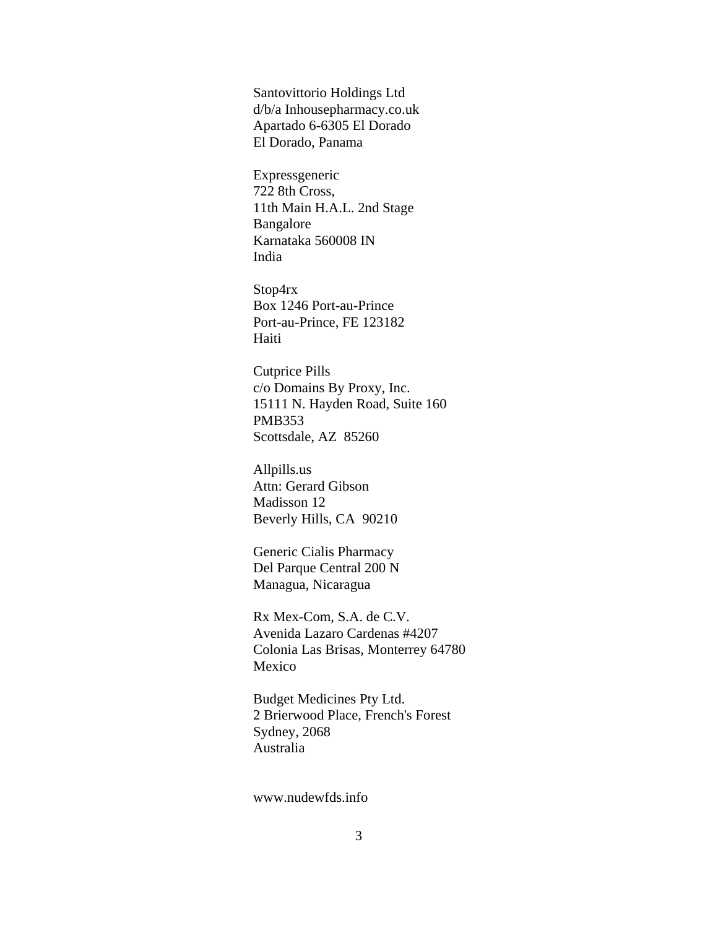Santovittorio Holdings Ltd d/b/a Inhousepharmacy.co.uk Apartado 6-6305 El Dorado El Dorado, Panama

Expressgeneric 722 8th Cross, 11th Main H.A.L. 2nd Stage Bangalore Karnataka 560008 IN India

Stop4rx Box 1246 Port-au-Prince Port-au-Prince, FE 123182 Haiti

Cutprice Pills c/o Domains By Proxy, Inc. 15111 N. Hayden Road, Suite 160 PMB353 Scottsdale, AZ 85260

Allpills.us Attn: Gerard Gibson Madisson 12 Beverly Hills, CA 90210

Generic Cialis Pharmacy Del Parque Central 200 N Managua, Nicaragua

Rx Mex-Com, S.A. de C.V. Avenida Lazaro Cardenas #4207 Colonia Las Brisas, Monterrey 64780 Mexico

Budget Medicines Pty Ltd. 2 Brierwood Place, French's Forest Sydney, 2068 Australia

www.nudewfds.info